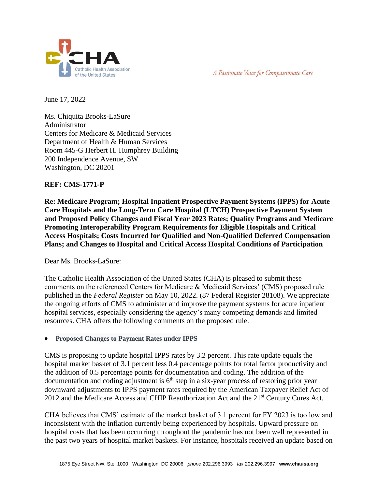



June 17, 2022

Ms. Chiquita Brooks-LaSure Administrator Centers for Medicare & Medicaid Services Department of Health & Human Services Room 445-G Herbert H. Humphrey Building 200 Independence Avenue, SW Washington, DC 20201

# **REF: CMS-1771-P**

**Re: Medicare Program; Hospital Inpatient Prospective Payment Systems (IPPS) for Acute Care Hospitals and the Long-Term Care Hospital (LTCH) Prospective Payment System and Proposed Policy Changes and Fiscal Year 2023 Rates; Quality Programs and Medicare Promoting Interoperability Program Requirements for Eligible Hospitals and Critical Access Hospitals; Costs Incurred for Qualified and Non-Qualified Deferred Compensation Plans; and Changes to Hospital and Critical Access Hospital Conditions of Participation**

Dear Ms. Brooks-LaSure:

The Catholic Health Association of the United States (CHA) is pleased to submit these comments on the referenced Centers for Medicare & Medicaid Services' (CMS) proposed rule published in the *Federal Register* on May 10, 2022. (87 Federal Register 28108). We appreciate the ongoing efforts of CMS to administer and improve the payment systems for acute inpatient hospital services, especially considering the agency's many competing demands and limited resources. CHA offers the following comments on the proposed rule.

• **Proposed Changes to Payment Rates under IPPS**

CMS is proposing to update hospital IPPS rates by 3.2 percent. This rate update equals the hospital market basket of 3.1 percent less 0.4 percentage points for total factor productivity and the addition of 0.5 percentage points for documentation and coding. The addition of the documentation and coding adjustment is  $6<sup>th</sup>$  step in a six-year process of restoring prior year downward adjustments to IPPS payment rates required by the American Taxpayer Relief Act of 2012 and the Medicare Access and CHIP Reauthorization Act and the 21<sup>st</sup> Century Cures Act.

CHA believes that CMS' estimate of the market basket of 3.1 percent for FY 2023 is too low and inconsistent with the inflation currently being experienced by hospitals. Upward pressure on hospital costs that has been occurring throughout the pandemic has not been well represented in the past two years of hospital market baskets. For instance, hospitals received an update based on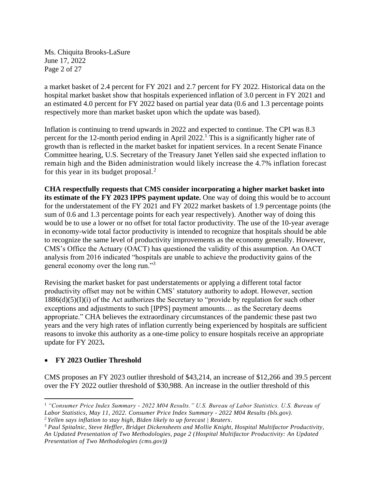Ms. Chiquita Brooks-LaSure June 17, 2022 Page 2 of 27

a market basket of 2.4 percent for FY 2021 and 2.7 percent for FY 2022. Historical data on the hospital market basket show that hospitals experienced inflation of 3.0 percent in FY 2021 and an estimated 4.0 percent for FY 2022 based on partial year data (0.6 and 1.3 percentage points respectively more than market basket upon which the update was based).

Inflation is continuing to trend upwards in 2022 and expected to continue. The CPI was 8.3 percent for the 12-month period ending in April 2022.<sup>1</sup> This is a significantly higher rate of growth than is reflected in the market basket for inpatient services. In a recent Senate Finance Committee hearing, U.S. Secretary of the Treasury Janet Yellen said she expected inflation to remain high and the Biden administration would likely increase the 4.7% inflation forecast for this year in its budget proposal.<sup>2</sup>

**CHA respectfully requests that CMS consider incorporating a higher market basket into its estimate of the FY 2023 IPPS payment update.** One way of doing this would be to account for the understatement of the FY 2021 and FY 2022 market baskets of 1.9 percentage points (the sum of 0.6 and 1.3 percentage points for each year respectively). Another way of doing this would be to use a lower or no offset for total factor productivity. The use of the 10-year average in economy-wide total factor productivity is intended to recognize that hospitals should be able to recognize the same level of productivity improvements as the economy generally. However, CMS's Office the Actuary (OACT) has questioned the validity of this assumption. An OACT analysis from 2016 indicated "hospitals are unable to achieve the productivity gains of the general economy over the long run."<sup>3</sup>

Revising the market basket for past understatements or applying a different total factor productivity offset may not be within CMS' statutory authority to adopt. However, section  $1886(d)(5)(I)(i)$  of the Act authorizes the Secretary to "provide by regulation for such other exceptions and adjustments to such [IPPS] payment amounts… as the Secretary deems appropriate." CHA believes the extraordinary circumstances of the pandemic these past two years and the very high rates of inflation currently being experienced by hospitals are sufficient reasons to invoke this authority as a one-time policy to ensure hospitals receive an appropriate update for FY 2023**.**

# • **FY 2023 Outlier Threshold**

CMS proposes an FY 2023 outlier threshold of \$43,214, an increase of \$12,266 and 39.5 percent over the FY 2022 outlier threshold of \$30,988. An increase in the outlier threshold of this

<sup>1</sup> *"Consumer Price Index Summary - 2022 M04 Results." U.S. Bureau of Labor Statistics. U.S. Bureau of Labor Statistics, May 11, 2022. [Consumer Price Index Summary -](https://www.bls.gov/news.release/cpi.nr0.htm) 2022 M04 Results (bls.gov). <sup>2</sup> [Yellen says inflation to stay high, Biden likely to up forecast | Reuters.](https://www.reuters.com/markets/us/us-faces-unacceptable-levels-inflation-yellen-tells-senators-2022-06-07/)*

<sup>3</sup> *Paul Spitalnic, Steve Heffler, Bridget Dickensheets and Mollie Knight, Hospital Multifactor Productivity, An Updated Presentation of Two Methodologies, page 2 [\(Hospital Multifactor Productivity: An Updated](https://www.cms.gov/Research-Statistics-Data-and-Systems/Statistics-Trends-and-Reports/ReportsTrustFunds/Downloads/ProductivityMemo2016.pdf)  [Presentation of Two Methodologies \(cms.gov\)](https://www.cms.gov/Research-Statistics-Data-and-Systems/Statistics-Trends-and-Reports/ReportsTrustFunds/Downloads/ProductivityMemo2016.pdf))*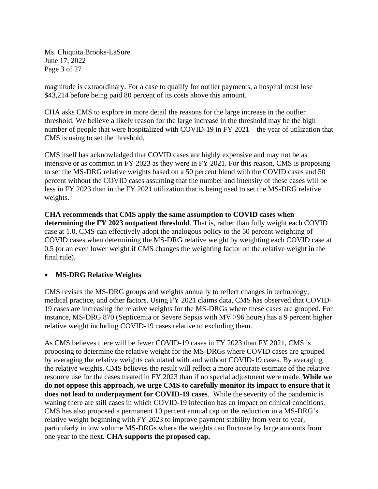Ms. Chiquita Brooks-LaSure June 17, 2022 Page 3 of 27

magnitude is extraordinary. For a case to qualify for outlier payments, a hospital must lose \$43,214 before being paid 80 percent of its costs above this amount.

CHA asks CMS to explore in more detail the reasons for the large increase in the outlier threshold. We believe a likely reason for the large increase in the threshold may be the high number of people that were hospitalized with COVID-19 in FY 2021—the year of utilization that CMS is using to set the threshold.

CMS itself has acknowledged that COVID cases are highly expensive and may not be as intensive or as common in FY 2023 as they were in FY 2021. For this reason, CMS is proposing to set the MS-DRG relative weights based on a 50 percent blend with the COVID cases and 50 percent without the COVID cases assuming that the number and intensity of these cases will be less in FY 2023 than in the FY 2021 utilization that is being used to set the MS-DRG relative weights.

**CHA recommends that CMS apply the same assumption to COVID cases when determining the FY 2023 outpatient threshold**. That is, rather than fully weight each COVID case at 1.0, CMS can effectively adopt the analogous policy to the 50 percent weighting of COVID cases when determining the MS-DRG relative weight by weighting each COVID case at 0.5 (or an even lower weight if CMS changes the weighting factor on the relative weight in the final rule).

# • **MS-DRG Relative Weights**

CMS revises the MS-DRG groups and weights annually to reflect changes in technology, medical practice, and other factors. Using FY 2021 claims data, CMS has observed that COVID-19 cases are increasing the relative weights for the MS-DRGs where these cases are grouped. For instance, MS-DRG 870 (Septicemia or Severe Sepsis with MV >96 hours) has a 9 percent higher relative weight including COVID-19 cases relative to excluding them.

As CMS believes there will be fewer COVID-19 cases in FY 2023 than FY 2021, CMS is proposing to determine the relative weight for the MS-DRGs where COVID cases are grouped by averaging the relative weights calculated with and without COVID-19 cases. By averaging the relative weights, CMS believes the result will reflect a more accurate estimate of the relative resource use for the cases treated in FY 2023 than if no special adjustment were made. **While we do not oppose this approach, we urge CMS to carefully monitor its impact to ensure that it does not lead to underpayment for COVID-19 cases**. While the severity of the pandemic is waning there are still cases in which COVID-19 infection has an impact on clinical conditions. CMS has also proposed a permanent 10 percent annual cap on the reduction in a MS-DRG's relative weight beginning with FY 2023 to improve payment stability from year to year, particularly in low volume MS-DRGs where the weights can fluctuate by large amounts from one year to the next. **CHA supports the proposed cap.**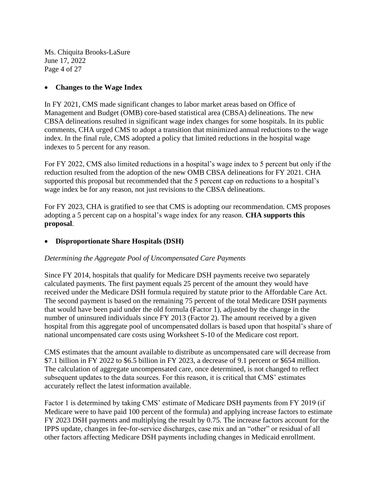Ms. Chiquita Brooks-LaSure June 17, 2022 Page 4 of 27

### • **Changes to the Wage Index**

In FY 2021, CMS made significant changes to labor market areas based on Office of Management and Budget (OMB) core-based statistical area (CBSA) delineations. The new CBSA delineations resulted in significant wage index changes for some hospitals. In its public comments, CHA urged CMS to adopt a transition that minimized annual reductions to the wage index. In the final rule, CMS adopted a policy that limited reductions in the hospital wage indexes to 5 percent for any reason.

For FY 2022, CMS also limited reductions in a hospital's wage index to 5 percent but only if the reduction resulted from the adoption of the new OMB CBSA delineations for FY 2021. CHA supported this proposal but recommended that the 5 percent cap on reductions to a hospital's wage index be for any reason, not just revisions to the CBSA delineations.

For FY 2023, CHA is gratified to see that CMS is adopting our recommendation. CMS proposes adopting a 5 percent cap on a hospital's wage index for any reason. **CHA supports this proposal**.

### • **Disproportionate Share Hospitals (DSH)**

### *Determining the Aggregate Pool of Uncompensated Care Payments*

Since FY 2014, hospitals that qualify for Medicare DSH payments receive two separately calculated payments. The first payment equals 25 percent of the amount they would have received under the Medicare DSH formula required by statute prior to the Affordable Care Act. The second payment is based on the remaining 75 percent of the total Medicare DSH payments that would have been paid under the old formula (Factor 1), adjusted by the change in the number of uninsured individuals since FY 2013 (Factor 2). The amount received by a given hospital from this aggregate pool of uncompensated dollars is based upon that hospital's share of national uncompensated care costs using Worksheet S-10 of the Medicare cost report.

CMS estimates that the amount available to distribute as uncompensated care will decrease from \$7.1 billion in FY 2022 to \$6.5 billion in FY 2023, a decrease of 9.1 percent or \$654 million. The calculation of aggregate uncompensated care, once determined, is not changed to reflect subsequent updates to the data sources. For this reason, it is critical that CMS' estimates accurately reflect the latest information available.

Factor 1 is determined by taking CMS' estimate of Medicare DSH payments from FY 2019 (if Medicare were to have paid 100 percent of the formula) and applying increase factors to estimate FY 2023 DSH payments and multiplying the result by 0.75. The increase factors account for the IPPS update, changes in fee-for-service discharges, case mix and an "other" or residual of all other factors affecting Medicare DSH payments including changes in Medicaid enrollment.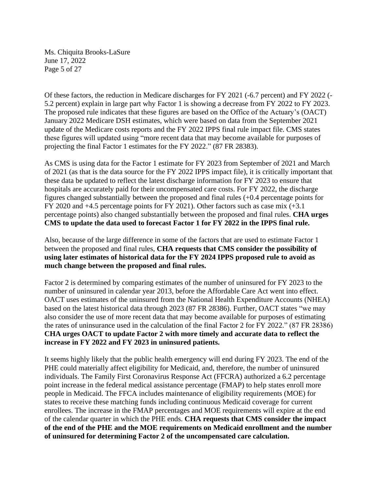Ms. Chiquita Brooks-LaSure June 17, 2022 Page 5 of 27

Of these factors, the reduction in Medicare discharges for FY 2021 (-6.7 percent) and FY 2022 (- 5.2 percent) explain in large part why Factor 1 is showing a decrease from FY 2022 to FY 2023. The proposed rule indicates that these figures are based on the Office of the Actuary's (OACT) January 2022 Medicare DSH estimates, which were based on data from the September 2021 update of the Medicare costs reports and the FY 2022 IPPS final rule impact file. CMS states these figures will updated using "more recent data that may become available for purposes of projecting the final Factor 1 estimates for the FY 2022." (87 FR 28383).

As CMS is using data for the Factor 1 estimate for FY 2023 from September of 2021 and March of 2021 (as that is the data source for the FY 2022 IPPS impact file), it is critically important that these data be updated to reflect the latest discharge information for FY 2023 to ensure that hospitals are accurately paid for their uncompensated care costs. For FY 2022, the discharge figures changed substantially between the proposed and final rules (+0.4 percentage points for FY 2020 and +4.5 percentage points for FY 2021). Other factors such as case mix (+3.1 percentage points) also changed substantially between the proposed and final rules. **CHA urges CMS to update the data used to forecast Factor 1 for FY 2022 in the IPPS final rule.**

Also, because of the large difference in some of the factors that are used to estimate Factor 1 between the proposed and final rules, **CHA requests that CMS consider the possibility of using later estimates of historical data for the FY 2024 IPPS proposed rule to avoid as much change between the proposed and final rules.**

Factor 2 is determined by comparing estimates of the number of uninsured for FY 2023 to the number of uninsured in calendar year 2013, before the Affordable Care Act went into effect. OACT uses estimates of the uninsured from the National Health Expenditure Accounts (NHEA) based on the latest historical data through 2023 (87 FR 28386). Further, OACT states "we may also consider the use of more recent data that may become available for purposes of estimating the rates of uninsurance used in the calculation of the final Factor 2 for FY 2022." (87 FR 28386) **CHA urges OACT to update Factor 2 with more timely and accurate data to reflect the increase in FY 2022 and FY 2023 in uninsured patients.**

It seems highly likely that the public health emergency will end during FY 2023. The end of the PHE could materially affect eligibility for Medicaid, and, therefore, the number of uninsured individuals. The Family First Coronavirus Response Act (FFCRA) authorized a 6.2 percentage point increase in the federal medical assistance percentage (FMAP) to help states enroll more people in Medicaid. The FFCA includes maintenance of eligibility requirements (MOE) for states to receive these matching funds including continuous Medicaid coverage for current enrollees. The increase in the FMAP percentages and MOE requirements will expire at the end of the calendar quarter in which the PHE ends. **CHA requests that CMS consider the impact of the end of the PHE and the MOE requirements on Medicaid enrollment and the number of uninsured for determining Factor 2 of the uncompensated care calculation.**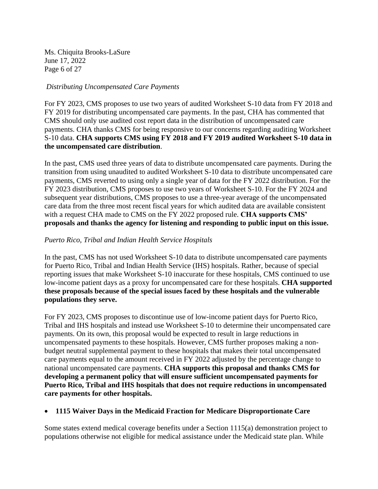Ms. Chiquita Brooks-LaSure June 17, 2022 Page 6 of 27

#### *Distributing Uncompensated Care Payments*

For FY 2023, CMS proposes to use two years of audited Worksheet S-10 data from FY 2018 and FY 2019 for distributing uncompensated care payments. In the past, CHA has commented that CMS should only use audited cost report data in the distribution of uncompensated care payments. CHA thanks CMS for being responsive to our concerns regarding auditing Worksheet S-10 data. **CHA supports CMS using FY 2018 and FY 2019 audited Worksheet S-10 data in the uncompensated care distribution**.

In the past, CMS used three years of data to distribute uncompensated care payments. During the transition from using unaudited to audited Worksheet S-10 data to distribute uncompensated care payments, CMS reverted to using only a single year of data for the FY 2022 distribution. For the FY 2023 distribution, CMS proposes to use two years of Worksheet S-10. For the FY 2024 and subsequent year distributions, CMS proposes to use a three-year average of the uncompensated care data from the three most recent fiscal years for which audited data are available consistent with a request CHA made to CMS on the FY 2022 proposed rule. **CHA supports CMS' proposals and thanks the agency for listening and responding to public input on this issue.**

### *Puerto Rico, Tribal and Indian Health Service Hospitals*

In the past, CMS has not used Worksheet S-10 data to distribute uncompensated care payments for Puerto Rico, Tribal and Indian Health Service (IHS) hospitals. Rather, because of special reporting issues that make Worksheet S-10 inaccurate for these hospitals, CMS continued to use low-income patient days as a proxy for uncompensated care for these hospitals. **CHA supported these proposals because of the special issues faced by these hospitals and the vulnerable populations they serve.** 

For FY 2023, CMS proposes to discontinue use of low-income patient days for Puerto Rico, Tribal and IHS hospitals and instead use Worksheet S-10 to determine their uncompensated care payments. On its own, this proposal would be expected to result in large reductions in uncompensated payments to these hospitals. However, CMS further proposes making a nonbudget neutral supplemental payment to these hospitals that makes their total uncompensated care payments equal to the amount received in FY 2022 adjusted by the percentage change to national uncompensated care payments. **CHA supports this proposal and thanks CMS for developing a permanent policy that will ensure sufficient uncompensated payments for Puerto Rico, Tribal and IHS hospitals that does not require reductions in uncompensated care payments for other hospitals.**

#### • **1115 Waiver Days in the Medicaid Fraction for Medicare Disproportionate Care**

Some states extend medical coverage benefits under a Section 1115(a) demonstration project to populations otherwise not eligible for medical assistance under the Medicaid state plan. While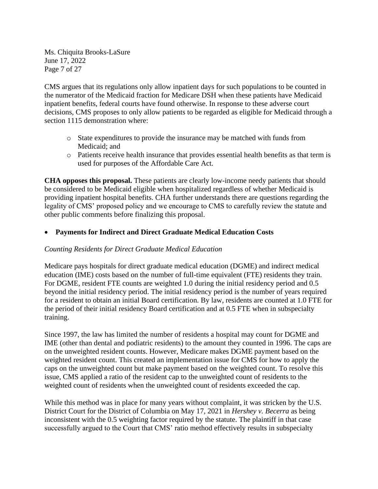Ms. Chiquita Brooks-LaSure June 17, 2022 Page 7 of 27

CMS argues that its regulations only allow inpatient days for such populations to be counted in the numerator of the Medicaid fraction for Medicare DSH when these patients have Medicaid inpatient benefits, federal courts have found otherwise. In response to these adverse court decisions, CMS proposes to only allow patients to be regarded as eligible for Medicaid through a section 1115 demonstration where:

- o State expenditures to provide the insurance may be matched with funds from Medicaid; and
- o Patients receive health insurance that provides essential health benefits as that term is used for purposes of the Affordable Care Act.

**CHA opposes this proposal.** These patients are clearly low-income needy patients that should be considered to be Medicaid eligible when hospitalized regardless of whether Medicaid is providing inpatient hospital benefits. CHA further understands there are questions regarding the legality of CMS' proposed policy and we encourage to CMS to carefully review the statute and other public comments before finalizing this proposal.

# • **Payments for Indirect and Direct Graduate Medical Education Costs**

#### *Counting Residents for Direct Graduate Medical Education*

Medicare pays hospitals for direct graduate medical education (DGME) and indirect medical education (IME) costs based on the number of full-time equivalent (FTE) residents they train. For DGME, resident FTE counts are weighted 1.0 during the initial residency period and 0.5 beyond the initial residency period. The initial residency period is the number of years required for a resident to obtain an initial Board certification. By law, residents are counted at 1.0 FTE for the period of their initial residency Board certification and at 0.5 FTE when in subspecialty training.

Since 1997, the law has limited the number of residents a hospital may count for DGME and IME (other than dental and podiatric residents) to the amount they counted in 1996. The caps are on the unweighted resident counts. However, Medicare makes DGME payment based on the weighted resident count. This created an implementation issue for CMS for how to apply the caps on the unweighted count but make payment based on the weighted count. To resolve this issue, CMS applied a ratio of the resident cap to the unweighted count of residents to the weighted count of residents when the unweighted count of residents exceeded the cap.

While this method was in place for many years without complaint, it was stricken by the U.S. District Court for the District of Columbia on May 17, 2021 in *Hershey v. Becerra* as being inconsistent with the 0.5 weighting factor required by the statute. The plaintiff in that case successfully argued to the Court that CMS' ratio method effectively results in subspecialty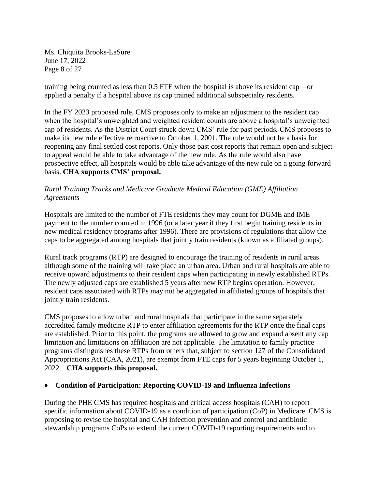Ms. Chiquita Brooks-LaSure June 17, 2022 Page 8 of 27

training being counted as less than 0.5 FTE when the hospital is above its resident cap—or applied a penalty if a hospital above its cap trained additional subspecialty residents.

In the FY 2023 proposed rule, CMS proposes only to make an adjustment to the resident cap when the hospital's unweighted and weighted resident counts are above a hospital's unweighted cap of residents. As the District Court struck down CMS' rule for past periods, CMS proposes to make its new rule effective retroactive to October 1, 2001. The rule would not be a basis for reopening any final settled cost reports. Only those past cost reports that remain open and subject to appeal would be able to take advantage of the new rule. As the rule would also have prospective effect, all hospitals would be able take advantage of the new rule on a going forward basis. **CHA supports CMS' proposal.** 

# *Rural Training Tracks and Medicare Graduate Medical Education (GME) Affiliation Agreements*

Hospitals are limited to the number of FTE residents they may count for DGME and IME payment to the number counted in 1996 (or a later year if they first begin training residents in new medical residency programs after 1996). There are provisions of regulations that allow the caps to be aggregated among hospitals that jointly train residents (known as affiliated groups).

Rural track programs (RTP) are designed to encourage the training of residents in rural areas although some of the training will take place an urban area. Urban and rural hospitals are able to receive upward adjustments to their resident caps when participating in newly established RTPs. The newly adjusted caps are established 5 years after new RTP begins operation. However, resident caps associated with RTPs may not be aggregated in affiliated groups of hospitals that jointly train residents.

CMS proposes to allow urban and rural hospitals that participate in the same separately accredited family medicine RTP to enter affiliation agreements for the RTP once the final caps are established. Prior to this point, the programs are allowed to grow and expand absent any cap limitation and limitations on affiliation are not applicable. The limitation to family practice programs distinguishes these RTPs from others that, subject to section 127 of the Consolidated Appropriations Act (CAA, 2021), are exempt from FTE caps for 5 years beginning October 1, 2022. **CHA supports this proposal.**

# • **Condition of Participation: Reporting COVID-19 and Influenza Infections**

During the PHE CMS has required hospitals and critical access hospitals (CAH) to report specific information about COVID-19 as a condition of participation (CoP) in Medicare. CMS is proposing to revise the hospital and CAH infection prevention and control and antibiotic stewardship programs CoPs to extend the current COVID-19 reporting requirements and to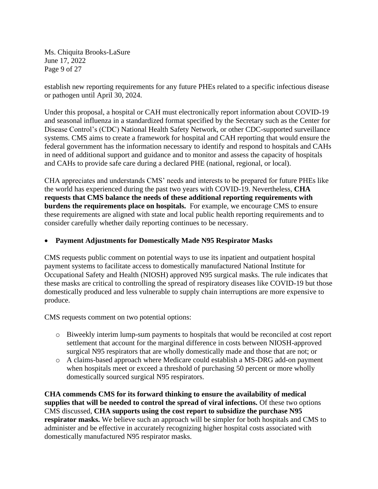Ms. Chiquita Brooks-LaSure June 17, 2022 Page 9 of 27

establish new reporting requirements for any future PHEs related to a specific infectious disease or pathogen until April 30, 2024.

Under this proposal, a hospital or CAH must electronically report information about COVID-19 and seasonal influenza in a standardized format specified by the Secretary such as the Center for Disease Control's (CDC) National Health Safety Network, or other CDC-supported surveillance systems. CMS aims to create a framework for hospital and CAH reporting that would ensure the federal government has the information necessary to identify and respond to hospitals and CAHs in need of additional support and guidance and to monitor and assess the capacity of hospitals and CAHs to provide safe care during a declared PHE (national, regional, or local).

CHA appreciates and understands CMS' needs and interests to be prepared for future PHEs like the world has experienced during the past two years with COVID-19. Nevertheless, **CHA requests that CMS balance the needs of these additional reporting requirements with burdens the requirements place on hospitals.** For example, we encourage CMS to ensure these requirements are aligned with state and local public health reporting requirements and to consider carefully whether daily reporting continues to be necessary.

# • **Payment Adjustments for Domestically Made N95 Respirator Masks**

CMS requests public comment on potential ways to use its inpatient and outpatient hospital payment systems to facilitate access to domestically manufactured National Institute for Occupational Safety and Health (NIOSH) approved N95 surgical masks. The rule indicates that these masks are critical to controlling the spread of respiratory diseases like COVID-19 but those domestically produced and less vulnerable to supply chain interruptions are more expensive to produce.

CMS requests comment on two potential options:

- o Biweekly interim lump-sum payments to hospitals that would be reconciled at cost report settlement that account for the marginal difference in costs between NIOSH-approved surgical N95 respirators that are wholly domestically made and those that are not; or
- o A claims-based approach where Medicare could establish a MS-DRG add-on payment when hospitals meet or exceed a threshold of purchasing 50 percent or more wholly domestically sourced surgical N95 respirators.

**CHA commends CMS for its forward thinking to ensure the availability of medical supplies that will be needed to control the spread of viral infections.** Of these two options CMS discussed, **CHA supports using the cost report to subsidize the purchase N95 respirator masks.** We believe such an approach will be simpler for both hospitals and CMS to administer and be effective in accurately recognizing higher hospital costs associated with domestically manufactured N95 respirator masks.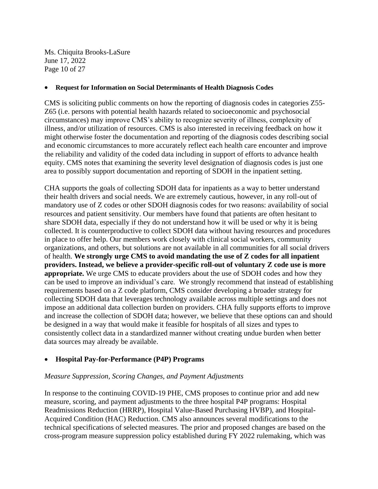Ms. Chiquita Brooks-LaSure June 17, 2022 Page 10 of 27

#### • **Request for Information on Social Determinants of Health Diagnosis Codes**

CMS is soliciting public comments on how the reporting of diagnosis codes in categories Z55- Z65 (i.e. persons with potential health hazards related to socioeconomic and psychosocial circumstances) may improve CMS's ability to recognize severity of illness, complexity of illness, and/or utilization of resources. CMS is also interested in receiving feedback on how it might otherwise foster the documentation and reporting of the diagnosis codes describing social and economic circumstances to more accurately reflect each health care encounter and improve the reliability and validity of the coded data including in support of efforts to advance health equity. CMS notes that examining the severity level designation of diagnosis codes is just one area to possibly support documentation and reporting of SDOH in the inpatient setting.

CHA supports the goals of collecting SDOH data for inpatients as a way to better understand their health drivers and social needs. We are extremely cautious, however, in any roll-out of mandatory use of Z codes or other SDOH diagnosis codes for two reasons: availability of social resources and patient sensitivity. Our members have found that patients are often hesitant to share SDOH data, especially if they do not understand how it will be used or why it is being collected. It is counterproductive to collect SDOH data without having resources and procedures in place to offer help. Our members work closely with clinical social workers, community organizations, and others, but solutions are not available in all communities for all social drivers of health. **We strongly urge CMS to avoid mandating the use of Z codes for all inpatient providers. Instead, we believe a provider-specific roll-out of voluntary Z code use is more appropriate.** We urge CMS to educate providers about the use of SDOH codes and how they can be used to improve an individual's care. We strongly recommend that instead of establishing requirements based on a Z code platform, CMS consider developing a broader strategy for collecting SDOH data that leverages technology available across multiple settings and does not impose an additional data collection burden on providers. CHA fully supports efforts to improve and increase the collection of SDOH data; however, we believe that these options can and should be designed in a way that would make it feasible for hospitals of all sizes and types to consistently collect data in a standardized manner without creating undue burden when better data sources may already be available.

# • **Hospital Pay-for-Performance (P4P) Programs**

#### *Measure Suppression, Scoring Changes, and Payment Adjustments*

In response to the continuing COVID-19 PHE, CMS proposes to continue prior and add new measure, scoring, and payment adjustments to the three hospital P4P programs: Hospital Readmissions Reduction (HRRP), Hospital Value-Based Purchasing HVBP), and Hospital-Acquired Condition (HAC) Reduction. CMS also announces several modifications to the technical specifications of selected measures. The prior and proposed changes are based on the cross-program measure suppression policy established during FY 2022 rulemaking, which was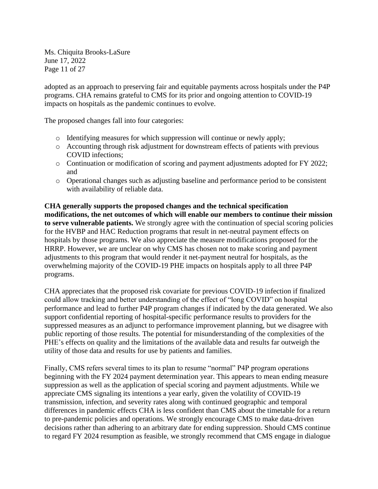Ms. Chiquita Brooks-LaSure June 17, 2022 Page 11 of 27

adopted as an approach to preserving fair and equitable payments across hospitals under the P4P programs. CHA remains grateful to CMS for its prior and ongoing attention to COVID-19 impacts on hospitals as the pandemic continues to evolve.

The proposed changes fall into four categories:

- o Identifying measures for which suppression will continue or newly apply;
- o Accounting through risk adjustment for downstream effects of patients with previous COVID infections;
- o Continuation or modification of scoring and payment adjustments adopted for FY 2022; and
- o Operational changes such as adjusting baseline and performance period to be consistent with availability of reliable data.

**CHA generally supports the proposed changes and the technical specification modifications, the net outcomes of which will enable our members to continue their mission to serve vulnerable patients.** We strongly agree with the continuation of special scoring policies for the HVBP and HAC Reduction programs that result in net-neutral payment effects on hospitals by those programs. We also appreciate the measure modifications proposed for the HRRP. However, we are unclear on why CMS has chosen not to make scoring and payment adjustments to this program that would render it net-payment neutral for hospitals, as the overwhelming majority of the COVID-19 PHE impacts on hospitals apply to all three P4P programs.

CHA appreciates that the proposed risk covariate for previous COVID-19 infection if finalized could allow tracking and better understanding of the effect of "long COVID" on hospital performance and lead to further P4P program changes if indicated by the data generated. We also support confidential reporting of hospital-specific performance results to providers for the suppressed measures as an adjunct to performance improvement planning, but we disagree with public reporting of those results. The potential for misunderstanding of the complexities of the PHE's effects on quality and the limitations of the available data and results far outweigh the utility of those data and results for use by patients and families.

Finally, CMS refers several times to its plan to resume "normal" P4P program operations beginning with the FY 2024 payment determination year. This appears to mean ending measure suppression as well as the application of special scoring and payment adjustments. While we appreciate CMS signaling its intentions a year early, given the volatility of COVID-19 transmission, infection, and severity rates along with continued geographic and temporal differences in pandemic effects CHA is less confident than CMS about the timetable for a return to pre-pandemic policies and operations. We strongly encourage CMS to make data-driven decisions rather than adhering to an arbitrary date for ending suppression. Should CMS continue to regard FY 2024 resumption as feasible, we strongly recommend that CMS engage in dialogue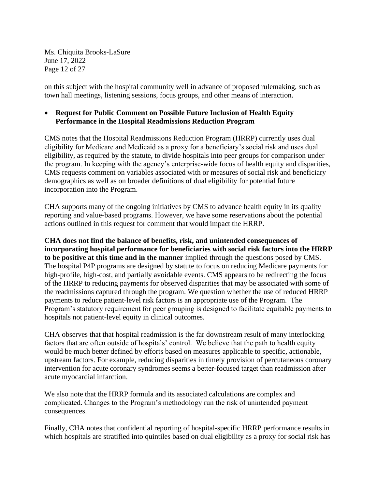Ms. Chiquita Brooks-LaSure June 17, 2022 Page 12 of 27

on this subject with the hospital community well in advance of proposed rulemaking, such as town hall meetings, listening sessions, focus groups, and other means of interaction.

### • **Request for Public Comment on Possible Future Inclusion of Health Equity Performance in the Hospital Readmissions Reduction Program**

CMS notes that the Hospital Readmissions Reduction Program (HRRP) currently uses dual eligibility for Medicare and Medicaid as a proxy for a beneficiary's social risk and uses dual eligibility, as required by the statute, to divide hospitals into peer groups for comparison under the program. In keeping with the agency's enterprise-wide focus of health equity and disparities, CMS requests comment on variables associated with or measures of social risk and beneficiary demographics as well as on broader definitions of dual eligibility for potential future incorporation into the Program.

CHA supports many of the ongoing initiatives by CMS to advance health equity in its quality reporting and value-based programs. However, we have some reservations about the potential actions outlined in this request for comment that would impact the HRRP.

**CHA does not find the balance of benefits, risk, and unintended consequences of incorporating hospital performance for beneficiaries with social risk factors into the HRRP to be positive at this time and in the manner** implied through the questions posed by CMS. The hospital P4P programs are designed by statute to focus on reducing Medicare payments for high-profile, high-cost, and partially avoidable events. CMS appears to be redirecting the focus of the HRRP to reducing payments for observed disparities that may be associated with some of the readmissions captured through the program. We question whether the use of reduced HRRP payments to reduce patient-level risk factors is an appropriate use of the Program. The Program's statutory requirement for peer grouping is designed to facilitate equitable payments to hospitals not patient-level equity in clinical outcomes.

CHA observes that that hospital readmission is the far downstream result of many interlocking factors that are often outside of hospitals' control. We believe that the path to health equity would be much better defined by efforts based on measures applicable to specific, actionable, upstream factors. For example, reducing disparities in timely provision of percutaneous coronary intervention for acute coronary syndromes seems a better-focused target than readmission after acute myocardial infarction.

We also note that the HRRP formula and its associated calculations are complex and complicated. Changes to the Program's methodology run the risk of unintended payment consequences.

Finally, CHA notes that confidential reporting of hospital-specific HRRP performance results in which hospitals are stratified into quintiles based on dual eligibility as a proxy for social risk has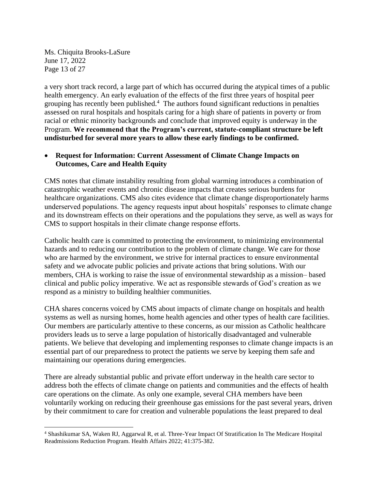Ms. Chiquita Brooks-LaSure June 17, 2022 Page 13 of 27

a very short track record, a large part of which has occurred during the atypical times of a public health emergency. An early evaluation of the effects of the first three years of hospital peer grouping has recently been published. $4$  The authors found significant reductions in penalties assessed on rural hospitals and hospitals caring for a high share of patients in poverty or from racial or ethnic minority backgrounds and conclude that improved equity is underway in the Program. **We recommend that the Program's current, statute-compliant structure be left undisturbed for several more years to allow these early findings to be confirmed.** 

### • **Request for Information: Current Assessment of Climate Change Impacts on Outcomes, Care and Health Equity**

CMS notes that climate instability resulting from global warming introduces a combination of catastrophic weather events and chronic disease impacts that creates serious burdens for healthcare organizations. CMS also cites evidence that climate change disproportionately harms underserved populations. The agency requests input about hospitals' responses to climate change and its downstream effects on their operations and the populations they serve, as well as ways for CMS to support hospitals in their climate change response efforts.

Catholic health care is committed to protecting the environment, to minimizing environmental hazards and to reducing our contribution to the problem of climate change. We care for those who are harmed by the environment, we strive for internal practices to ensure environmental safety and we advocate public policies and private actions that bring solutions. With our members, CHA is working to raise the issue of environmental stewardship as a mission– based clinical and public policy imperative. We act as responsible stewards of God's creation as we respond as a ministry to building healthier communities.

CHA shares concerns voiced by CMS about impacts of climate change on hospitals and health systems as well as nursing homes, home health agencies and other types of health care facilities. Our members are particularly attentive to these concerns, as our mission as Catholic healthcare providers leads us to serve a large population of historically disadvantaged and vulnerable patients. We believe that developing and implementing responses to climate change impacts is an essential part of our preparedness to protect the patients we serve by keeping them safe and maintaining our operations during emergencies.

There are already substantial public and private effort underway in the health care sector to address both the effects of climate change on patients and communities and the effects of health care operations on the climate. As only one example, several CHA members have been voluntarily working on reducing their greenhouse gas emissions for the past several years, driven by their commitment to care for creation and vulnerable populations the least prepared to deal

<sup>4</sup> Shashikumar SA, Waken RJ, Aggarwal R, et al. Three-Year Impact Of Stratification In The Medicare Hospital Readmissions Reduction Program. Health Affairs 2022; 41:375-382.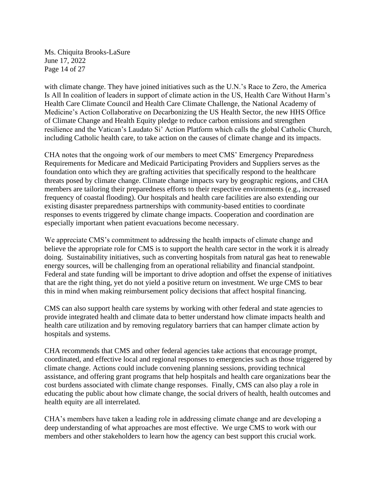Ms. Chiquita Brooks-LaSure June 17, 2022 Page 14 of 27

with climate change. They have joined initiatives such as the U.N.'s Race to Zero, the America Is All In coalition of leaders in support of climate action in the US, Health Care Without Harm's Health Care Climate Council and Health Care Climate Challenge, the National Academy of Medicine's Action Collaborative on Decarbonizing the US Health Sector, the new HHS Office of Climate Change and Health Equity pledge to reduce carbon emissions and strengthen resilience and the Vatican's Laudato Si' Action Platform which calls the global Catholic Church, including Catholic health care, to take action on the causes of climate change and its impacts.

CHA notes that the ongoing work of our members to meet CMS' Emergency Preparedness Requirements for Medicare and Medicaid Participating Providers and Suppliers serves as the foundation onto which they are grafting activities that specifically respond to the healthcare threats posed by climate change. Climate change impacts vary by geographic regions, and CHA members are tailoring their preparedness efforts to their respective environments (e.g., increased frequency of coastal flooding). Our hospitals and health care facilities are also extending our existing disaster preparedness partnerships with community-based entities to coordinate responses to events triggered by climate change impacts. Cooperation and coordination are especially important when patient evacuations become necessary.

We appreciate CMS's commitment to addressing the health impacts of climate change and believe the appropriate role for CMS is to support the health care sector in the work it is already doing. Sustainability initiatives, such as converting hospitals from natural gas heat to renewable energy sources, will be challenging from an operational reliability and financial standpoint. Federal and state funding will be important to drive adoption and offset the expense of initiatives that are the right thing, yet do not yield a positive return on investment. We urge CMS to bear this in mind when making reimbursement policy decisions that affect hospital financing.

CMS can also support health care systems by working with other federal and state agencies to provide integrated health and climate data to better understand how climate impacts health and health care utilization and by removing regulatory barriers that can hamper climate action by hospitals and systems.

CHA recommends that CMS and other federal agencies take actions that encourage prompt, coordinated, and effective local and regional responses to emergencies such as those triggered by climate change. Actions could include convening planning sessions, providing technical assistance, and offering grant programs that help hospitals and health care organizations bear the cost burdens associated with climate change responses. Finally, CMS can also play a role in educating the public about how climate change, the social drivers of health, health outcomes and health equity are all interrelated.

CHA's members have taken a leading role in addressing climate change and are developing a deep understanding of what approaches are most effective. We urge CMS to work with our members and other stakeholders to learn how the agency can best support this crucial work.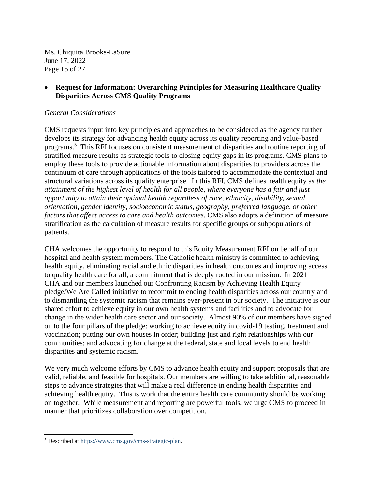Ms. Chiquita Brooks-LaSure June 17, 2022 Page 15 of 27

### • **Request for Information: Overarching Principles for Measuring Healthcare Quality Disparities Across CMS Quality Programs**

#### *General Considerations*

CMS requests input into key principles and approaches to be considered as the agency further develops its strategy for advancing health equity across its quality reporting and value-based programs.<sup>5</sup> This RFI focuses on consistent measurement of disparities and routine reporting of stratified measure results as strategic tools to closing equity gaps in its programs. CMS plans to employ these tools to provide actionable information about disparities to providers across the continuum of care through applications of the tools tailored to accommodate the contextual and structural variations across its quality enterprise. In this RFI, CMS defines health equity as *the attainment of the highest level of health for all people, where everyone has a fair and just opportunity to attain their optimal health regardless of race, ethnicity, disability, sexual orientation, gender identity, socioeconomic status, geography, preferred language, or other factors that affect access to care and health outcomes*. CMS also adopts a definition of measure stratification as the calculation of measure results for specific groups or subpopulations of patients.

CHA welcomes the opportunity to respond to this Equity Measurement RFI on behalf of our hospital and health system members. The Catholic health ministry is committed to achieving health equity, eliminating racial and ethnic disparities in health outcomes and improving access to quality health care for all, a commitment that is deeply rooted in our mission. In 2021 CHA and our members launched our Confronting Racism by Achieving Health Equity pledge/We Are Called initiative to recommit to ending health disparities across our country and to dismantling the systemic racism that remains ever-present in our society. The initiative is our shared effort to achieve equity in our own health systems and facilities and to advocate for change in the wider health care sector and our society. Almost 90% of our members have signed on to the four pillars of the pledge: working to achieve equity in covid-19 testing, treatment and vaccination; putting our own houses in order; building just and right relationships with our communities; and advocating for change at the federal, state and local levels to end health disparities and systemic racism.

We very much welcome efforts by CMS to advance health equity and support proposals that are valid, reliable, and feasible for hospitals. Our members are willing to take additional, reasonable steps to advance strategies that will make a real difference in ending health disparities and achieving health equity. This is work that the entire health care community should be working on together. While measurement and reporting are powerful tools, we urge CMS to proceed in manner that prioritizes collaboration over competition.

<sup>5</sup> Described a[t https://www.cms.gov/cms-strategic-plan.](https://www.cms.gov/cms-strategic-plan)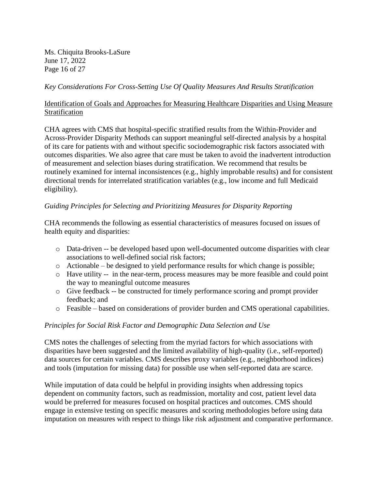Ms. Chiquita Brooks-LaSure June 17, 2022 Page 16 of 27

### *Key Considerations For Cross-Setting Use Of Quality Measures And Results Stratification*

### Identification of Goals and Approaches for Measuring Healthcare Disparities and Using Measure **Stratification**

CHA agrees with CMS that hospital-specific stratified results from the Within-Provider and Across-Provider Disparity Methods can support meaningful self-directed analysis by a hospital of its care for patients with and without specific sociodemographic risk factors associated with outcomes disparities. We also agree that care must be taken to avoid the inadvertent introduction of measurement and selection biases during stratification. We recommend that results be routinely examined for internal inconsistences (e.g., highly improbable results) and for consistent directional trends for interrelated stratification variables (e.g., low income and full Medicaid eligibility).

### *Guiding Principles for Selecting and Prioritizing Measures for Disparity Reporting*

CHA recommends the following as essential characteristics of measures focused on issues of health equity and disparities:

- o Data-driven -- be developed based upon well-documented outcome disparities with clear associations to well-defined social risk factors;
- o Actionable be designed to yield performance results for which change is possible;
- o Have utility -- in the near-term, process measures may be more feasible and could point the way to meaningful outcome measures
- o Give feedback -- be constructed for timely performance scoring and prompt provider feedback; and
- o Feasible based on considerations of provider burden and CMS operational capabilities.

#### *Principles for Social Risk Factor and Demographic Data Selection and Use*

CMS notes the challenges of selecting from the myriad factors for which associations with disparities have been suggested and the limited availability of high-quality (i.e., self-reported) data sources for certain variables. CMS describes proxy variables (e.g., neighborhood indices) and tools (imputation for missing data) for possible use when self-reported data are scarce.

While imputation of data could be helpful in providing insights when addressing topics dependent on community factors, such as readmission, mortality and cost, patient level data would be preferred for measures focused on hospital practices and outcomes. CMS should engage in extensive testing on specific measures and scoring methodologies before using data imputation on measures with respect to things like risk adjustment and comparative performance.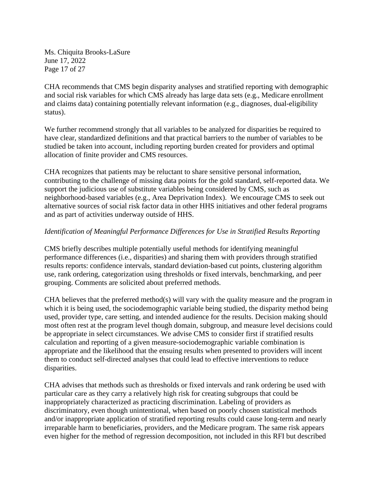Ms. Chiquita Brooks-LaSure June 17, 2022 Page 17 of 27

CHA recommends that CMS begin disparity analyses and stratified reporting with demographic and social risk variables for which CMS already has large data sets (e.g., Medicare enrollment and claims data) containing potentially relevant information (e.g., diagnoses, dual-eligibility status).

We further recommend strongly that all variables to be analyzed for disparities be required to have clear, standardized definitions and that practical barriers to the number of variables to be studied be taken into account, including reporting burden created for providers and optimal allocation of finite provider and CMS resources.

CHA recognizes that patients may be reluctant to share sensitive personal information, contributing to the challenge of missing data points for the gold standard, self-reported data. We support the judicious use of substitute variables being considered by CMS, such as neighborhood-based variables (e.g., Area Deprivation Index). We encourage CMS to seek out alternative sources of social risk factor data in other HHS initiatives and other federal programs and as part of activities underway outside of HHS.

### *Identification of Meaningful Performance Differences for Use in Stratified Results Reporting*

CMS briefly describes multiple potentially useful methods for identifying meaningful performance differences (i.e., disparities) and sharing them with providers through stratified results reports: confidence intervals, standard deviation-based cut points, clustering algorithm use, rank ordering, categorization using thresholds or fixed intervals, benchmarking, and peer grouping. Comments are solicited about preferred methods.

CHA believes that the preferred method(s) will vary with the quality measure and the program in which it is being used, the sociodemographic variable being studied, the disparity method being used, provider type, care setting, and intended audience for the results. Decision making should most often rest at the program level though domain, subgroup, and measure level decisions could be appropriate in select circumstances. We advise CMS to consider first if stratified results calculation and reporting of a given measure-sociodemographic variable combination is appropriate and the likelihood that the ensuing results when presented to providers will incent them to conduct self-directed analyses that could lead to effective interventions to reduce disparities.

CHA advises that methods such as thresholds or fixed intervals and rank ordering be used with particular care as they carry a relatively high risk for creating subgroups that could be inappropriately characterized as practicing discrimination. Labeling of providers as discriminatory, even though unintentional, when based on poorly chosen statistical methods and/or inappropriate application of stratified reporting results could cause long-term and nearly irreparable harm to beneficiaries, providers, and the Medicare program. The same risk appears even higher for the method of regression decomposition, not included in this RFI but described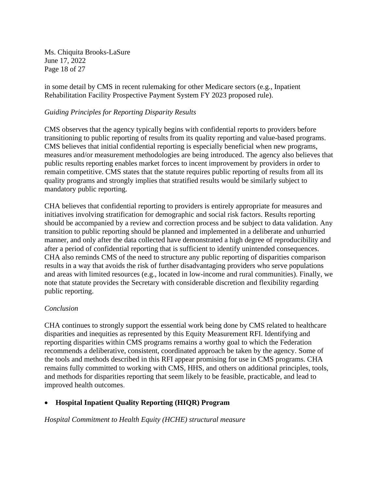Ms. Chiquita Brooks-LaSure June 17, 2022 Page 18 of 27

in some detail by CMS in recent rulemaking for other Medicare sectors (e.g., Inpatient Rehabilitation Facility Prospective Payment System FY 2023 proposed rule).

### *Guiding Principles for Reporting Disparity Results*

CMS observes that the agency typically begins with confidential reports to providers before transitioning to public reporting of results from its quality reporting and value-based programs. CMS believes that initial confidential reporting is especially beneficial when new programs, measures and/or measurement methodologies are being introduced. The agency also believes that public results reporting enables market forces to incent improvement by providers in order to remain competitive. CMS states that the statute requires public reporting of results from all its quality programs and strongly implies that stratified results would be similarly subject to mandatory public reporting.

CHA believes that confidential reporting to providers is entirely appropriate for measures and initiatives involving stratification for demographic and social risk factors. Results reporting should be accompanied by a review and correction process and be subject to data validation. Any transition to public reporting should be planned and implemented in a deliberate and unhurried manner, and only after the data collected have demonstrated a high degree of reproducibility and after a period of confidential reporting that is sufficient to identify unintended consequences. CHA also reminds CMS of the need to structure any public reporting of disparities comparison results in a way that avoids the risk of further disadvantaging providers who serve populations and areas with limited resources (e.g., located in low-income and rural communities). Finally, we note that statute provides the Secretary with considerable discretion and flexibility regarding public reporting.

#### *Conclusion*

CHA continues to strongly support the essential work being done by CMS related to healthcare disparities and inequities as represented by this Equity Measurement RFI. Identifying and reporting disparities within CMS programs remains a worthy goal to which the Federation recommends a deliberative, consistent, coordinated approach be taken by the agency. Some of the tools and methods described in this RFI appear promising for use in CMS programs. CHA remains fully committed to working with CMS, HHS, and others on additional principles, tools, and methods for disparities reporting that seem likely to be feasible, practicable, and lead to improved health outcomes.

# • **Hospital Inpatient Quality Reporting (HIQR) Program**

*Hospital Commitment to Health Equity (HCHE) structural measure*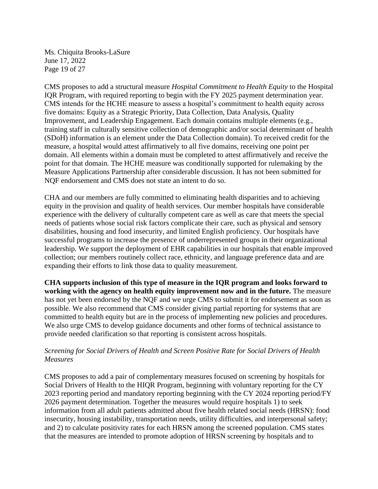Ms. Chiquita Brooks-LaSure June 17, 2022 Page 19 of 27

CMS proposes to add a structural measure *Hospital Commitment to Health Equity* to the Hospital IQR Program, with required reporting to begin with the FY 2025 payment determination year. CMS intends for the HCHE measure to assess a hospital's commitment to health equity across five domains: Equity as a Strategic Priority, Data Collection, Data Analysis, Quality Improvement, and Leadership Engagement. Each domain contains multiple elements (e.g., training staff in culturally sensitive collection of demographic and/or social determinant of health (SDoH) information is an element under the Data Collection domain). To received credit for the measure, a hospital would attest affirmatively to all five domains, receiving one point per domain. All elements within a domain must be completed to attest affirmatively and receive the point for that domain. The HCHE measure was conditionally supported for rulemaking by the Measure Applications Partnership after considerable discussion. It has not been submitted for NQF endorsement and CMS does not state an intent to do so.

CHA and our members are fully committed to eliminating health disparities and to achieving equity in the provision and quality of health services. Our member hospitals have considerable experience with the delivery of culturally competent care as well as care that meets the special needs of patients whose social risk factors complicate their care, such as physical and sensory disabilities, housing and food insecurity, and limited English proficiency. Our hospitals have successful programs to increase the presence of underrepresented groups in their organizational leadership. We support the deployment of EHR capabilities in our hospitals that enable improved collection; our members routinely collect race, ethnicity, and language preference data and are expanding their efforts to link those data to quality measurement.

**CHA supports inclusion of this type of measure in the IQR program and looks forward to working with the agency on health equity improvement now and in the future.** The measure has not yet been endorsed by the NQF and we urge CMS to submit it for endorsement as soon as possible. We also recommend that CMS consider giving partial reporting for systems that are committed to health equity but are in the process of implementing new policies and procedures. We also urge CMS to develop guidance documents and other forms of technical assistance to provide needed clarification so that reporting is consistent across hospitals.

### *Screening for Social Drivers of Health and Screen Positive Rate for Social Drivers of Health Measures*

CMS proposes to add a pair of complementary measures focused on screening by hospitals for Social Drivers of Health to the HIQR Program, beginning with voluntary reporting for the CY 2023 reporting period and mandatory reporting beginning with the CY 2024 reporting period/FY 2026 payment determination. Together the measures would require hospitals 1) to seek information from all adult patients admitted about five health related social needs (HRSN): food insecurity, housing instability, transportation needs, utility difficulties, and interpersonal safety; and 2) to calculate positivity rates for each HRSN among the screened population. CMS states that the measures are intended to promote adoption of HRSN screening by hospitals and to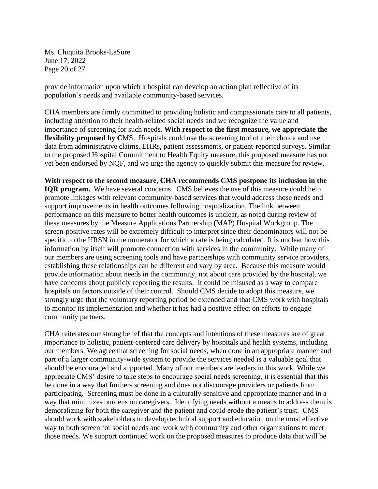Ms. Chiquita Brooks-LaSure June 17, 2022 Page 20 of 27

provide information upon which a hospital can develop an action plan reflective of its population's needs and available community-based services.

CHA members are firmly committed to providing holistic and compassionate care to all patients, including attention to their health-related social needs and we recognize the value and importance of screening for such needs. **With respect to the first measure, we appreciate the flexibility proposed by CMS.** Hospitals could use the screening tool of their choice and use data from administrative claims, EHRs, patient assessments, or patient-reported surveys. Similar to the proposed Hospital Commitment to Health Equity measure, this proposed measure has not yet been endorsed by NQF, and we urge the agency to quickly submit this measure for review.

**With respect to the second measure, CHA recommends CMS postpone its inclusion in the IQR program.** We have several concerns. CMS believes the use of this measure could help promote linkages with relevant community-based services that would address those needs and support improvements in health outcomes following hospitalization. The link between performance on this measure to better health outcomes is unclear, as noted during review of these measures by the Measure Applications Partnership (MAP) Hospital Workgroup. The screen-positive rates will be extremely difficult to interpret since their denominators will not be specific to the HRSN in the numerator for which a rate is being calculated. It is unclear how this information by itself will promote connection with services in the community. While many of our members are using screening tools and have partnerships with community service providers, establishing these relationships can be different and vary by area. Because this measure would provide information about needs in the community, not about care provided by the hospital, we have concerns about publicly reporting the results. It could be misused as a way to compare hospitals on factors outside of their control. Should CMS decide to adopt this measure, we strongly urge that the voluntary reporting period be extended and that CMS work with hospitals to monitor its implementation and whether it has had a positive effect on efforts to engage community partners.

CHA reiterates our strong belief that the concepts and intentions of these measures are of great importance to holistic, patient-centered care delivery by hospitals and health systems, including our members. We agree that screening for social needs, when done in an appropriate manner and part of a larger community-wide system to provide the services needed is a valuable goal that should be encouraged and supported. Many of our members are leaders in this work. While we appreciate CMS' desire to take steps to encourage social needs screening, it is essential that this be done in a way that furthers screening and does not discourage providers or patients from participating. Screening must be done in a culturally sensitive and appropriate manner and in a way that minimizes burdens on caregivers. Identifying needs without a means to address them is demoralizing for both the caregiver and the patient and could erode the patient's trust. CMS should work with stakeholders to develop technical support and education on the most effective way to both screen for social needs and work with community and other organizations to meet those needs. We support continued work on the proposed measures to produce data that will be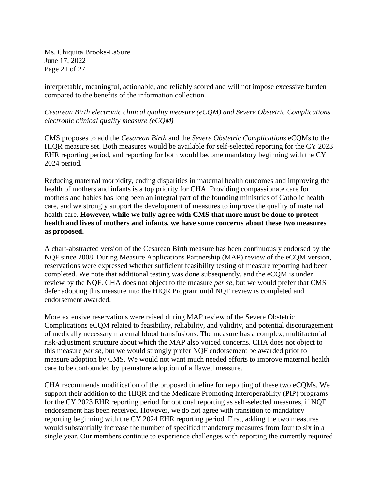Ms. Chiquita Brooks-LaSure June 17, 2022 Page 21 of 27

interpretable, meaningful, actionable, and reliably scored and will not impose excessive burden compared to the benefits of the information collection.

*Cesarean Birth electronic clinical quality measure (eCQM) and Severe Obstetric Complications electronic clinical quality measure (eCQM)* 

CMS proposes to add the *Cesarean Birth* and the *Severe Obstetric Complications* eCQMs to the HIQR measure set. Both measures would be available for self-selected reporting for the CY 2023 EHR reporting period, and reporting for both would become mandatory beginning with the CY 2024 period.

Reducing maternal morbidity, ending disparities in maternal health outcomes and improving the health of mothers and infants is a top priority for CHA. Providing compassionate care for mothers and babies has long been an integral part of the founding ministries of Catholic health care, and we strongly support the development of measures to improve the quality of maternal health care. **However, while we fully agree with CMS that more must be done to protect health and lives of mothers and infants, we have some concerns about these two measures as proposed.**

A chart-abstracted version of the Cesarean Birth measure has been continuously endorsed by the NQF since 2008. During Measure Applications Partnership (MAP) review of the eCQM version, reservations were expressed whether sufficient feasibility testing of measure reporting had been completed. We note that additional testing was done subsequently, and the eCQM is under review by the NQF. CHA does not object to the measure *per se*, but we would prefer that CMS defer adopting this measure into the HIQR Program until NQF review is completed and endorsement awarded.

More extensive reservations were raised during MAP review of the Severe Obstetric Complications eCQM related to feasibility, reliability, and validity, and potential discouragement of medically necessary maternal blood transfusions. The measure has a complex, multifactorial risk-adjustment structure about which the MAP also voiced concerns. CHA does not object to this measure *per se*, but we would strongly prefer NQF endorsement be awarded prior to measure adoption by CMS. We would not want much needed efforts to improve maternal health care to be confounded by premature adoption of a flawed measure.

CHA recommends modification of the proposed timeline for reporting of these two eCQMs. We support their addition to the HIQR and the Medicare Promoting Interoperability (PIP) programs for the CY 2023 EHR reporting period for optional reporting as self-selected measures, if NQF endorsement has been received. However, we do not agree with transition to mandatory reporting beginning with the CY 2024 EHR reporting period. First, adding the two measures would substantially increase the number of specified mandatory measures from four to six in a single year. Our members continue to experience challenges with reporting the currently required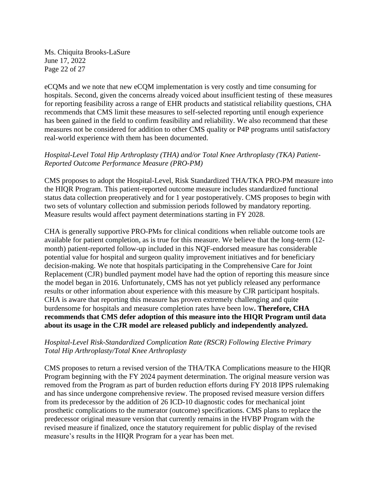Ms. Chiquita Brooks-LaSure June 17, 2022 Page 22 of 27

eCQMs and we note that new eCQM implementation is very costly and time consuming for hospitals. Second, given the concerns already voiced about insufficient testing of these measures for reporting feasibility across a range of EHR products and statistical reliability questions, CHA recommends that CMS limit these measures to self-selected reporting until enough experience has been gained in the field to confirm feasibility and reliability. We also recommend that these measures not be considered for addition to other CMS quality or P4P programs until satisfactory real-world experience with them has been documented.

### *Hospital-Level Total Hip Arthroplasty (THA) and/or Total Knee Arthroplasty (TKA) Patient-Reported Outcome Performance Measure (PRO-PM)*

CMS proposes to adopt the Hospital-Level, Risk Standardized THA/TKA PRO-PM measure into the HIQR Program. This patient-reported outcome measure includes standardized functional status data collection preoperatively and for 1 year postoperatively. CMS proposes to begin with two sets of voluntary collection and submission periods followed by mandatory reporting. Measure results would affect payment determinations starting in FY 2028.

CHA is generally supportive PRO-PMs for clinical conditions when reliable outcome tools are available for patient completion, as is true for this measure. We believe that the long-term (12 month) patient-reported follow-up included in this NQF-endorsed measure has considerable potential value for hospital and surgeon quality improvement initiatives and for beneficiary decision-making. We note that hospitals participating in the Comprehensive Care for Joint Replacement (CJR) bundled payment model have had the option of reporting this measure since the model began in 2016. Unfortunately, CMS has not yet publicly released any performance results or other information about experience with this measure by CJR participant hospitals. CHA is aware that reporting this measure has proven extremely challenging and quite burdensome for hospitals and measure completion rates have been low**. Therefore, CHA recommends that CMS defer adoption of this measure into the HIQR Program until data about its usage in the CJR model are released publicly and independently analyzed.** 

### *Hospital-Level Risk-Standardized Complication Rate (RSCR) Following Elective Primary Total Hip Arthroplasty/Total Knee Arthroplasty*

CMS proposes to return a revised version of the THA/TKA Complications measure to the HIQR Program beginning with the FY 2024 payment determination. The original measure version was removed from the Program as part of burden reduction efforts during FY 2018 IPPS rulemaking and has since undergone comprehensive review. The proposed revised measure version differs from its predecessor by the addition of 26 ICD-10 diagnostic codes for mechanical joint prosthetic complications to the numerator (outcome) specifications. CMS plans to replace the predecessor original measure version that currently remains in the HVBP Program with the revised measure if finalized, once the statutory requirement for public display of the revised measure's results in the HIQR Program for a year has been met.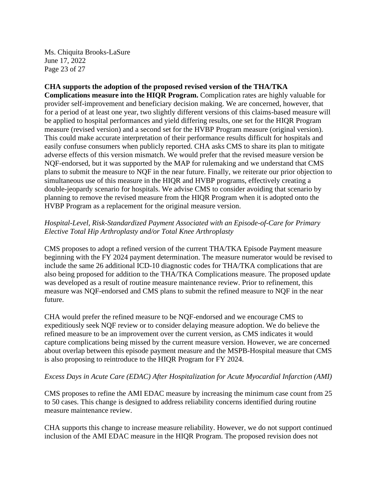Ms. Chiquita Brooks-LaSure June 17, 2022 Page 23 of 27

# **CHA supports the adoption of the proposed revised version of the THA/TKA**

**Complications measure into the HIQR Program.** Complication rates are highly valuable for provider self-improvement and beneficiary decision making. We are concerned, however, that for a period of at least one year, two slightly different versions of this claims-based measure will be applied to hospital performances and yield differing results, one set for the HIQR Program measure (revised version) and a second set for the HVBP Program measure (original version). This could make accurate interpretation of their performance results difficult for hospitals and easily confuse consumers when publicly reported. CHA asks CMS to share its plan to mitigate adverse effects of this version mismatch. We would prefer that the revised measure version be NQF-endorsed, but it was supported by the MAP for rulemaking and we understand that CMS plans to submit the measure to NQF in the near future. Finally, we reiterate our prior objection to simultaneous use of this measure in the HIQR and HVBP programs, effectively creating a double-jeopardy scenario for hospitals. We advise CMS to consider avoiding that scenario by planning to remove the revised measure from the HIQR Program when it is adopted onto the HVBP Program as a replacement for the original measure version.

### *Hospital-Level, Risk-Standardized Payment Associated with an Episode-of-Care for Primary Elective Total Hip Arthroplasty and/or Total Knee Arthroplasty*

CMS proposes to adopt a refined version of the current THA/TKA Episode Payment measure beginning with the FY 2024 payment determination. The measure numerator would be revised to include the same 26 additional ICD-10 diagnostic codes for THA/TKA complications that are also being proposed for addition to the THA/TKA Complications measure. The proposed update was developed as a result of routine measure maintenance review. Prior to refinement, this measure was NQF-endorsed and CMS plans to submit the refined measure to NQF in the near future.

CHA would prefer the refined measure to be NQF-endorsed and we encourage CMS to expeditiously seek NQF review or to consider delaying measure adoption. We do believe the refined measure to be an improvement over the current version, as CMS indicates it would capture complications being missed by the current measure version. However, we are concerned about overlap between this episode payment measure and the MSPB-Hospital measure that CMS is also proposing to reintroduce to the HIQR Program for FY 2024.

#### *Excess Days in Acute Care (EDAC) After Hospitalization for Acute Myocardial Infarction (AMI)*

CMS proposes to refine the AMI EDAC measure by increasing the minimum case count from 25 to 50 cases. This change is designed to address reliability concerns identified during routine measure maintenance review.

CHA supports this change to increase measure reliability. However, we do not support continued inclusion of the AMI EDAC measure in the HIQR Program. The proposed revision does not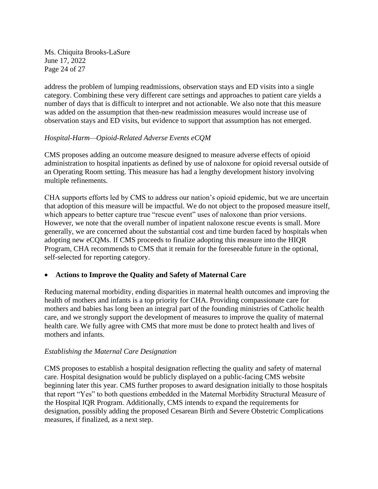Ms. Chiquita Brooks-LaSure June 17, 2022 Page 24 of 27

address the problem of lumping readmissions, observation stays and ED visits into a single category. Combining these very different care settings and approaches to patient care yields a number of days that is difficult to interpret and not actionable. We also note that this measure was added on the assumption that then-new readmission measures would increase use of observation stays and ED visits, but evidence to support that assumption has not emerged.

### *Hospital-Harm—Opioid-Related Adverse Events eCQM*

CMS proposes adding an outcome measure designed to measure adverse effects of opioid administration to hospital inpatients as defined by use of naloxone for opioid reversal outside of an Operating Room setting. This measure has had a lengthy development history involving multiple refinements.

CHA supports efforts led by CMS to address our nation's opioid epidemic, but we are uncertain that adoption of this measure will be impactful. We do not object to the proposed measure itself, which appears to better capture true "rescue event" uses of naloxone than prior versions. However, we note that the overall number of inpatient naloxone rescue events is small. More generally, we are concerned about the substantial cost and time burden faced by hospitals when adopting new eCQMs. If CMS proceeds to finalize adopting this measure into the HIQR Program, CHA recommends to CMS that it remain for the foreseeable future in the optional, self-selected for reporting category.

#### • **Actions to Improve the Quality and Safety of Maternal Care**

Reducing maternal morbidity, ending disparities in maternal health outcomes and improving the health of mothers and infants is a top priority for CHA. Providing compassionate care for mothers and babies has long been an integral part of the founding ministries of Catholic health care, and we strongly support the development of measures to improve the quality of maternal health care. We fully agree with CMS that more must be done to protect health and lives of mothers and infants.

#### *Establishing the Maternal Care Designation*

CMS proposes to establish a hospital designation reflecting the quality and safety of maternal care. Hospital designation would be publicly displayed on a public-facing CMS website beginning later this year. CMS further proposes to award designation initially to those hospitals that report "Yes" to both questions embedded in the Maternal Morbidity Structural Measure of the Hospital IQR Program. Additionally, CMS intends to expand the requirements for designation, possibly adding the proposed Cesarean Birth and Severe Obstetric Complications measures, if finalized, as a next step.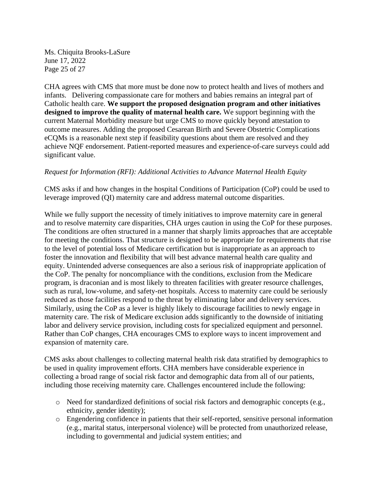Ms. Chiquita Brooks-LaSure June 17, 2022 Page 25 of 27

CHA agrees with CMS that more must be done now to protect health and lives of mothers and infants. Delivering compassionate care for mothers and babies remains an integral part of Catholic health care. **We support the proposed designation program and other initiatives designed to improve the quality of maternal health care.** We support beginning with the current Maternal Morbidity measure but urge CMS to move quickly beyond attestation to outcome measures. Adding the proposed Cesarean Birth and Severe Obstetric Complications eCQMs is a reasonable next step if feasibility questions about them are resolved and they achieve NQF endorsement. Patient-reported measures and experience-of-care surveys could add significant value.

### *Request for Information (RFI): Additional Activities to Advance Maternal Health Equity*

CMS asks if and how changes in the hospital Conditions of Participation (CoP) could be used to leverage improved (QI) maternity care and address maternal outcome disparities.

While we fully support the necessity of timely initiatives to improve maternity care in general and to resolve maternity care disparities, CHA urges caution in using the CoP for these purposes. The conditions are often structured in a manner that sharply limits approaches that are acceptable for meeting the conditions. That structure is designed to be appropriate for requirements that rise to the level of potential loss of Medicare certification but is inappropriate as an approach to foster the innovation and flexibility that will best advance maternal health care quality and equity. Unintended adverse consequences are also a serious risk of inappropriate application of the CoP. The penalty for noncompliance with the conditions, exclusion from the Medicare program, is draconian and is most likely to threaten facilities with greater resource challenges, such as rural, low-volume, and safety-net hospitals. Access to maternity care could be seriously reduced as those facilities respond to the threat by eliminating labor and delivery services. Similarly, using the CoP as a lever is highly likely to discourage facilities to newly engage in maternity care. The risk of Medicare exclusion adds significantly to the downside of initiating labor and delivery service provision, including costs for specialized equipment and personnel. Rather than CoP changes, CHA encourages CMS to explore ways to incent improvement and expansion of maternity care.

CMS asks about challenges to collecting maternal health risk data stratified by demographics to be used in quality improvement efforts. CHA members have considerable experience in collecting a broad range of social risk factor and demographic data from all of our patients, including those receiving maternity care. Challenges encountered include the following:

- o Need for standardized definitions of social risk factors and demographic concepts (e.g., ethnicity, gender identity);
- o Engendering confidence in patients that their self-reported, sensitive personal information (e.g., marital status, interpersonal violence) will be protected from unauthorized release, including to governmental and judicial system entities; and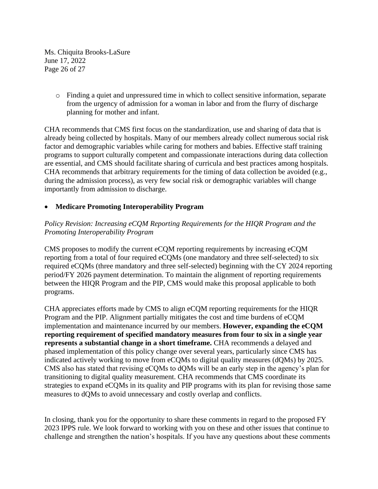Ms. Chiquita Brooks-LaSure June 17, 2022 Page 26 of 27

> o Finding a quiet and unpressured time in which to collect sensitive information, separate from the urgency of admission for a woman in labor and from the flurry of discharge planning for mother and infant.

CHA recommends that CMS first focus on the standardization, use and sharing of data that is already being collected by hospitals. Many of our members already collect numerous social risk factor and demographic variables while caring for mothers and babies. Effective staff training programs to support culturally competent and compassionate interactions during data collection are essential, and CMS should facilitate sharing of curricula and best practices among hospitals. CHA recommends that arbitrary requirements for the timing of data collection be avoided (e.g., during the admission process), as very few social risk or demographic variables will change importantly from admission to discharge.

# • **Medicare Promoting Interoperability Program**

# *Policy Revision: Increasing eCQM Reporting Requirements for the HIQR Program and the Promoting Interoperability Program*

CMS proposes to modify the current eCQM reporting requirements by increasing eCQM reporting from a total of four required eCQMs (one mandatory and three self-selected) to six required eCQMs (three mandatory and three self-selected) beginning with the CY 2024 reporting period/FY 2026 payment determination. To maintain the alignment of reporting requirements between the HIQR Program and the PIP, CMS would make this proposal applicable to both programs.

CHA appreciates efforts made by CMS to align eCQM reporting requirements for the HIQR Program and the PIP. Alignment partially mitigates the cost and time burdens of eCQM implementation and maintenance incurred by our members. **However, expanding the eCQM reporting requirement of specified mandatory measures from four to six in a single year represents a substantial change in a short timeframe.** CHA recommends a delayed and phased implementation of this policy change over several years, particularly since CMS has indicated actively working to move from eCQMs to digital quality measures (dQMs) by 2025. CMS also has stated that revising eCQMs to dQMs will be an early step in the agency's plan for transitioning to digital quality measurement. CHA recommends that CMS coordinate its strategies to expand eCQMs in its quality and PIP programs with its plan for revising those same measures to dQMs to avoid unnecessary and costly overlap and conflicts.

In closing, thank you for the opportunity to share these comments in regard to the proposed FY 2023 IPPS rule. We look forward to working with you on these and other issues that continue to challenge and strengthen the nation's hospitals. If you have any questions about these comments